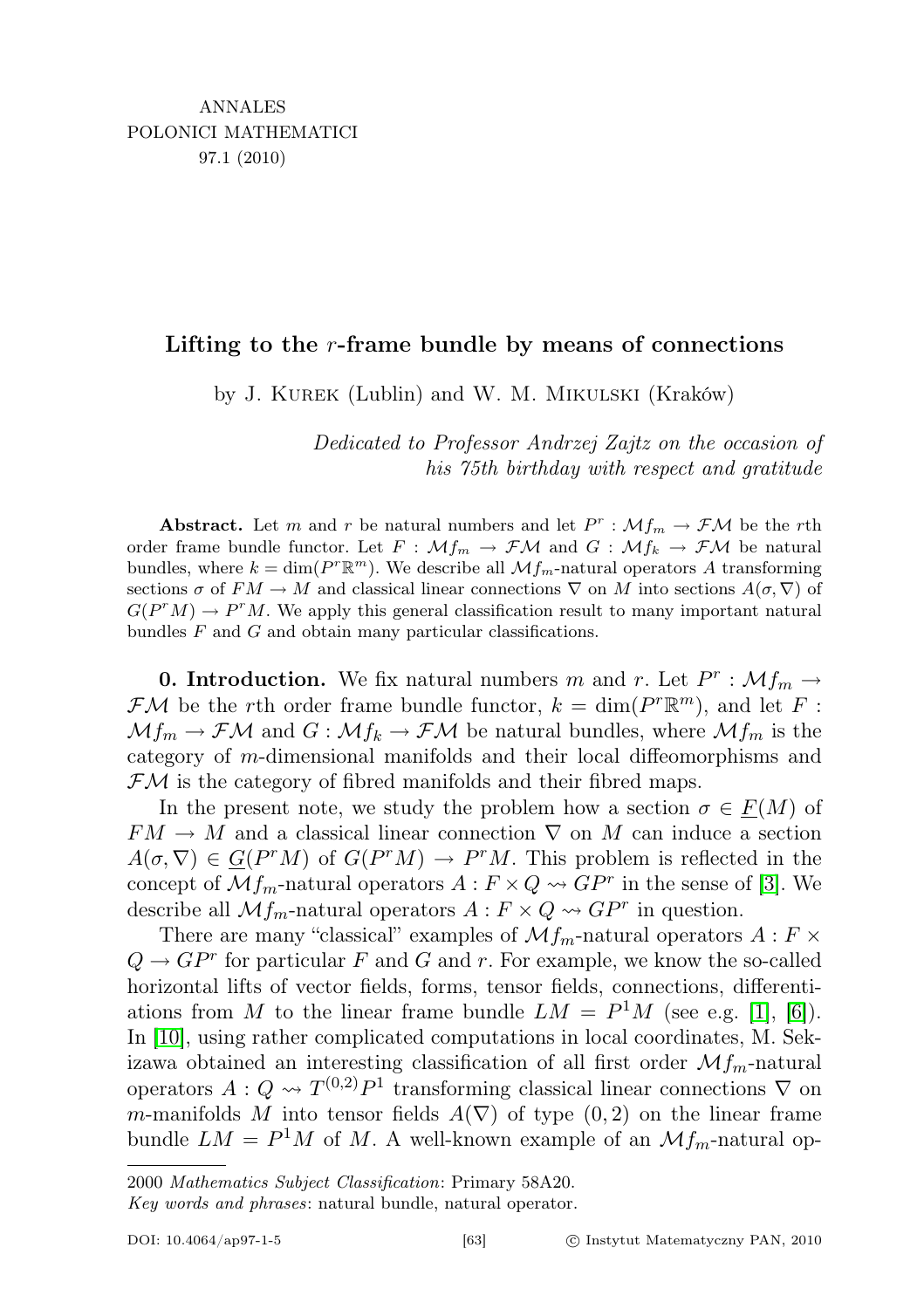## Lifting to the  $r$ -frame bundle by means of connections

by J. Kurek (Lublin) and W. M. Mikulski (Kraków)

Dedicated to Professor Andrzej Zajtz on the occasion of his 75th birthday with respect and gratitude

**Abstract.** Let m and r be natural numbers and let  $P^r$ :  $\mathcal{M}f_m \to \mathcal{F}\mathcal{M}$  be the rth order frame bundle functor. Let  $F : \mathcal{M}_{m} \to \mathcal{F}\mathcal{M}$  and  $G : \mathcal{M}_{k} \to \mathcal{F}\mathcal{M}$  be natural bundles, where  $k = \dim(P^r \mathbb{R}^m)$ . We describe all  $\mathcal{M}f_m$ -natural operators A transforming sections  $\sigma$  of  $FM \to M$  and classical linear connections  $\nabla$  on M into sections  $A(\sigma, \nabla)$  of  $G(P^rM) \to P^rM$ . We apply this general classification result to many important natural bundles  $F$  and  $G$  and obtain many particular classifications.

**0. Introduction.** We fix natural numbers m and r. Let  $P^r$ :  $\mathcal{M}f_m \to$  $\mathcal{F}\mathcal{M}$  be the rth order frame bundle functor,  $k = \dim(P^r \mathbb{R}^m)$ , and let F:  $Mf_m \to \mathcal{F}M$  and  $G : \mathcal{M}f_k \to \mathcal{F}M$  be natural bundles, where  $\mathcal{M}f_m$  is the category of m-dimensional manifolds and their local diffeomorphisms and  $\mathcal{F}M$  is the category of fibred manifolds and their fibred maps.

In the present note, we study the problem how a section  $\sigma \in F(M)$  of  $FM \rightarrow M$  and a classical linear connection  $\nabla$  on M can induce a section  $A(\sigma, \nabla) \in \underline{G}(P^rM)$  of  $G(P^rM) \to P^rM$ . This problem is reflected in the concept of  $Mf_m$ -natural operators  $A: F \times Q \rightarrow G P^r$  in the sense of [\[3\]](#page-8-0). We describe all  $\mathcal{M}f_m$ -natural operators  $A: F \times Q \rightarrow G P^r$  in question.

There are many "classical" examples of  $\mathcal{M}_{m}$ -natural operators  $A: F \times$  $Q \to GP^r$  for particular F and G and r. For example, we know the so-called horizontal lifts of vector fields, forms, tensor fields, connections, differentiations from M to the linear frame bundle  $LM = P<sup>1</sup>M$  (see e.g. [\[1\]](#page-8-1), [\[6\]](#page-8-2)). In [\[10\]](#page-8-3), using rather complicated computations in local coordinates, M. Sekizawa obtained an interesting classification of all first order  $\mathcal{M}_{m}$ -natural operators  $A: Q \leadsto T^{(0,2)}P^1$  transforming classical linear connections  $\nabla$  on m-manifolds M into tensor fields  $A(\nabla)$  of type  $(0, 2)$  on the linear frame bundle  $LM = P^1M$  of M. A well-known example of an  $\mathcal{M}_{m}$ -natural op-

<sup>2000</sup> Mathematics Subject Classification: Primary 58A20.

Key words and phrases: natural bundle, natural operator.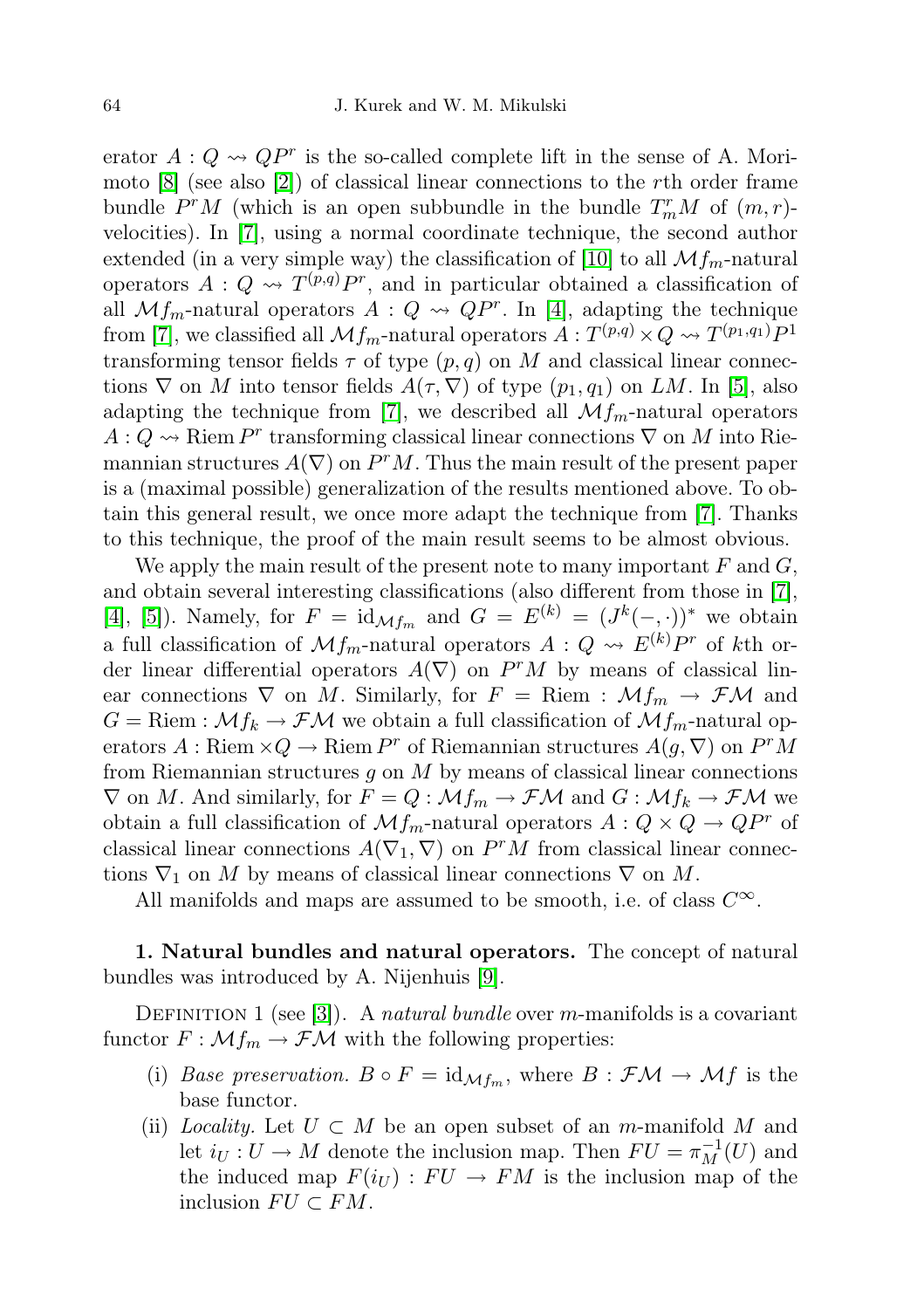erator  $A: Q \rightsquigarrow QP^r$  is the so-called complete lift in the sense of A. Morimoto  $[8]$  (see also  $[2]$ ) of classical linear connections to the rth order frame bundle  $P^rM$  (which is an open subbundle in the bundle  $T_m^rM$  of  $(m,r)$ velocities). In [\[7\]](#page-8-6), using a normal coordinate technique, the second author extended (in a very simple way) the classification of [\[10\]](#page-8-3) to all  $\mathcal{M}_{Im}$ -natural operators  $A: Q \rightsquigarrow T^{(p,q)}P^r$ , and in particular obtained a classification of all  $Mf_m$ -natural operators  $A: Q \rightsquigarrow QP^r$ . In [\[4\]](#page-8-7), adapting the technique from [\[7\]](#page-8-6), we classified all  $\mathcal{M}f_m$ -natural operators  $A: T^{(p,q)} \times Q \rightsquigarrow T^{(p_1,q_1)}P^1$ transforming tensor fields  $\tau$  of type  $(p, q)$  on M and classical linear connections  $\nabla$  on M into tensor fields  $A(\tau, \nabla)$  of type  $(p_1, q_1)$  on LM. In [\[5\]](#page-8-8), also adapting the technique from [\[7\]](#page-8-6), we described all  $\mathcal{M}_{m}$ -natural operators  $A: Q \rightarrow \mathbb{R}$ iem  $P^r$  transforming classical linear connections  $\nabla$  on M into Riemannian structures  $A(\nabla)$  on  $P^rM$ . Thus the main result of the present paper is a (maximal possible) generalization of the results mentioned above. To obtain this general result, we once more adapt the technique from [\[7\]](#page-8-6). Thanks to this technique, the proof of the main result seems to be almost obvious.

We apply the main result of the present note to many important  $F$  and  $G$ , and obtain several interesting classifications (also different from those in [\[7\]](#page-8-6), [\[4\]](#page-8-7), [\[5\]](#page-8-8)). Namely, for  $F = \mathrm{id}_{\mathcal{M}f_m}$  and  $G = E^{(k)} = (J^k(-, \cdot))^*$  we obtain a full classification of  $\mathcal{M}f_m$ -natural operators  $A: Q \rightsquigarrow E^{(k)}P^r$  of kth order linear differential operators  $A(\nabla)$  on  $P^rM$  by means of classical linear connections  $\nabla$  on M. Similarly, for  $F =$  Riem :  $\mathcal{M}_{m} \to \mathcal{F}\mathcal{M}$  and  $G =$ Riem :  $\mathcal{M}f_k \to \mathcal{F}\mathcal{M}$  we obtain a full classification of  $\mathcal{M}f_m$ -natural operators  $A:$  Riem  $\times Q \to$  Riem  $P^r$  of Riemannian structures  $A(g, \nabla)$  on  $P^r M$ from Riemannian structures  $q$  on  $M$  by means of classical linear connections  $\nabla$  on M. And similarly, for  $F = Q : \mathcal{M}f_m \to \mathcal{F}\mathcal{M}$  and  $G : \mathcal{M}f_k \to \mathcal{F}\mathcal{M}$  we obtain a full classification of  $\mathcal{M}_{m}$ -natural operators  $A: Q \times Q \rightarrow QP^{r}$  of classical linear connections  $A(\nabla_1, \nabla)$  on  $P^rM$  from classical linear connections  $\nabla_1$  on M by means of classical linear connections  $\nabla$  on M.

All manifolds and maps are assumed to be smooth, i.e. of class  $C^{\infty}$ .

1. Natural bundles and natural operators. The concept of natural bundles was introduced by A. Nijenhuis [\[9\]](#page-8-9).

DEFINITION 1 (see [\[3\]](#page-8-0)). A natural bundle over m-manifolds is a covariant functor  $F : \mathcal{M}f_m \to \mathcal{F}\mathcal{M}$  with the following properties:

- (i) Base preservation.  $B \circ F = id_{\mathcal{M}f_m}$ , where  $B : \mathcal{F}M \to \mathcal{M}f$  is the base functor.
- (ii) Locality. Let  $U \subset M$  be an open subset of an m-manifold M and let  $i_U: U \to M$  denote the inclusion map. Then  $FU = \pi_M^{-1}(U)$  and the induced map  $F(i_U) : FU \to FM$  is the inclusion map of the inclusion  $FU \subset FM$ .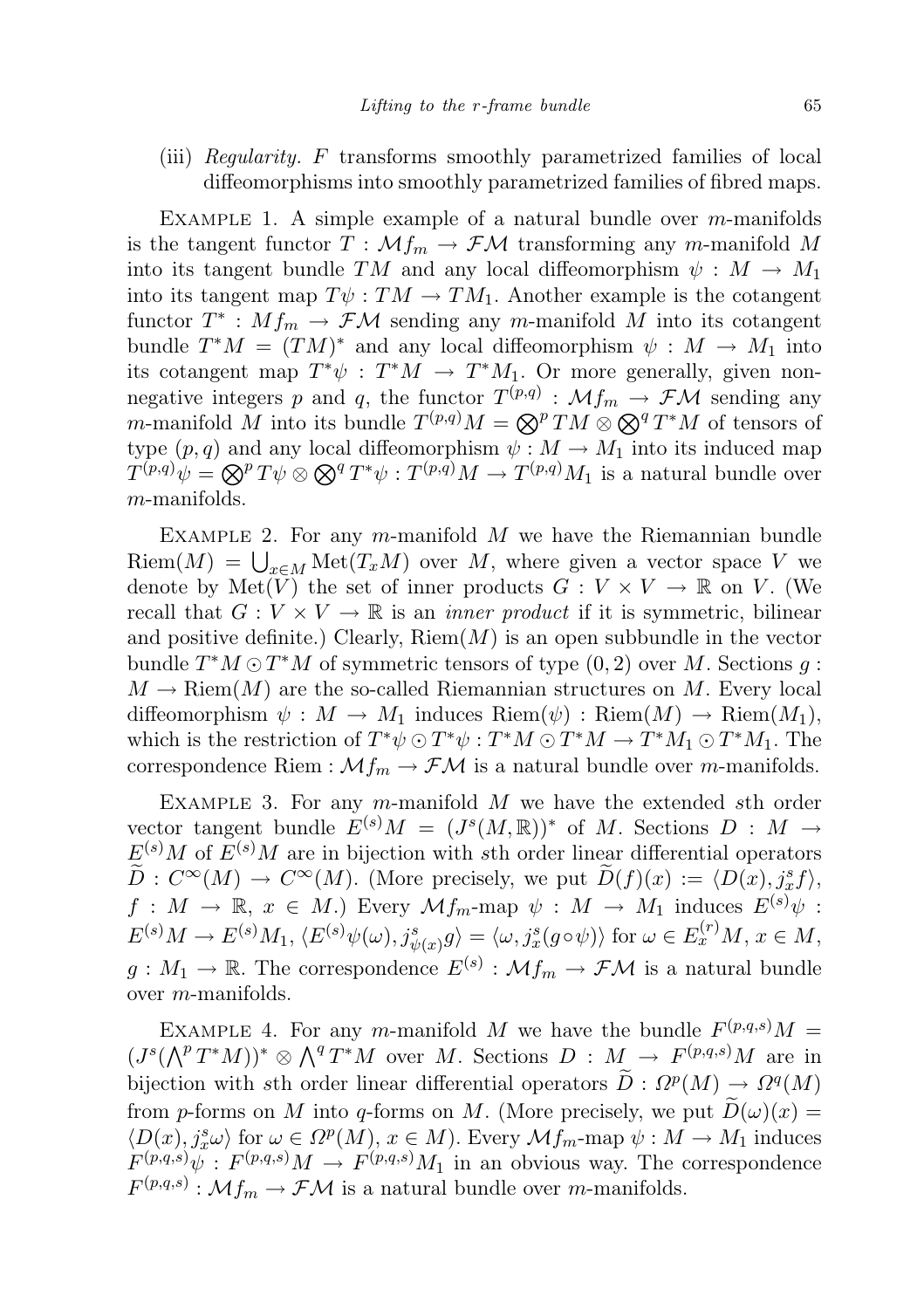(iii) Regularity. F transforms smoothly parametrized families of local diffeomorphisms into smoothly parametrized families of fibred maps.

EXAMPLE 1. A simple example of a natural bundle over  $m$ -manifolds is the tangent functor  $T : \mathcal{M}_{m} \to \mathcal{F}\mathcal{M}$  transforming any m-manifold M into its tangent bundle TM and any local diffeomorphism  $\psi : M \to M_1$ into its tangent map  $T\psi: TM \to TM_1$ . Another example is the cotangent functor  $T^* : Mf_m \to \mathcal{F}M$  sending any m-manifold M into its cotangent bundle  $T^*M = (TM)^*$  and any local diffeomorphism  $\psi : M \to M_1$  into its cotangent map  $T^*\psi : T^*M \to T^*M_1$ . Or more generally, given nonnegative integers p and q, the functor  $T^{(p,q)}$  :  $\mathcal{M}f_m \to \mathcal{F}\mathcal{M}$  sending any *m*-manifold M into its bundle  $T^{(p,q)}M = \bigotimes^p TM \otimes \bigotimes^q T^*M$  of tensors of type  $(p, q)$  and any local diffeomorphism  $\psi : M \to M_1$  into its induced map  $T^{(p,q)}\psi = \bigotimes^p T\psi \otimes \bigotimes^q T^*\psi : T^{(p,q)}M \to T^{(p,q)}M_1$  is a natural bundle over m-manifolds.

EXAMPLE 2. For any m-manifold  $M$  we have the Riemannian bundle  $\text{Riem}(M) = \bigcup_{x \in M} \text{Met}(T_x M)$  over M, where given a vector space V we denote by Met(V) the set of inner products  $G: V \times V \to \mathbb{R}$  on V. (We recall that  $G: V \times V \to \mathbb{R}$  is an *inner product* if it is symmetric, bilinear and positive definite.) Clearly,  $\text{Riem}(M)$  is an open subbundle in the vector bundle  $T^*M \odot T^*M$  of symmetric tensors of type  $(0, 2)$  over M. Sections g:  $M \to \text{Riem}(M)$  are the so-called Riemannian structures on M. Every local diffeomorphism  $\psi : M \to M_1$  induces  $\text{Riem}(\psi) : \text{Riem}(M) \to \text{Riem}(M_1)$ , which is the restriction of  $T^*\psi \odot T^*\psi : T^*M \odot T^*M \rightarrow T^*M_1 \odot T^*M_1$ . The correspondence Riem :  $\mathcal{M}_{m} \to \mathcal{F}\mathcal{M}$  is a natural bundle over *m*-manifolds.

EXAMPLE 3. For any m-manifold  $M$  we have the extended sth order vector tangent bundle  $E^{(s)}M = (J^s(M, \mathbb{R}))^*$  of M. Sections  $D : M \to$  $E^{(s)}M$  of  $E^{(s)}M$  are in bijection with sth order linear differential operators  $\widetilde{D}: C^{\infty}(M) \to C^{\infty}(M)$ . (More precisely, we put  $\widetilde{D}(f)(x) := \langle D(x), j_x^s f \rangle$ ,  $f: M \to \mathbb{R}, x \in M$ .) Every  $\mathcal{M}f_m$ -map  $\psi: M \to M_1$  induces  $E^{(s)}\psi$ :  $E^{(s)}M \to E^{(s)}M_1, \langle E^{(s)}\psi(\omega), j_{\psi(x)}^s g \rangle = \langle \omega, j_x^s (g \circ \psi) \rangle$  for  $\omega \in E_x^{(r)}M, x \in M$ ,  $g: M_1 \to \mathbb{R}$ . The correspondence  $E^{(s)}: \mathcal{M} f_m \to \mathcal{F} \mathcal{M}$  is a natural bundle over m-manifolds.

EXAMPLE 4. For any m-manifold M we have the bundle  $F^{(p,q,s)}M =$  $(J^{s}(\bigwedge^{p} T^{*}M))^{*} \otimes \bigwedge^{q} T^{*}M$  over M. Sections  $D : M \to F^{(p,q,s)}M$  are in bijection with sth order linear differential operators  $\widetilde{D}: \Omega^p(M) \to \Omega^q(M)$ from p-forms on M into q-forms on M. (More precisely, we put  $\tilde{D}(\omega)(x) =$  $\langle D(x), j_x^s \omega \rangle$  for  $\omega \in \Omega^p(M)$ ,  $x \in M$ ). Every  $\mathcal{M}_{m}$ -map  $\psi : M \to M_1$  induces  $F^{(p,q,s)}\psi : F^{(p,q,s)}M \to F^{(p,q,s)}M_1$  in an obvious way. The correspondence  $F^{(p,q,s)} : \mathcal{M}f_m \to \mathcal{F}\mathcal{M}$  is a natural bundle over m-manifolds.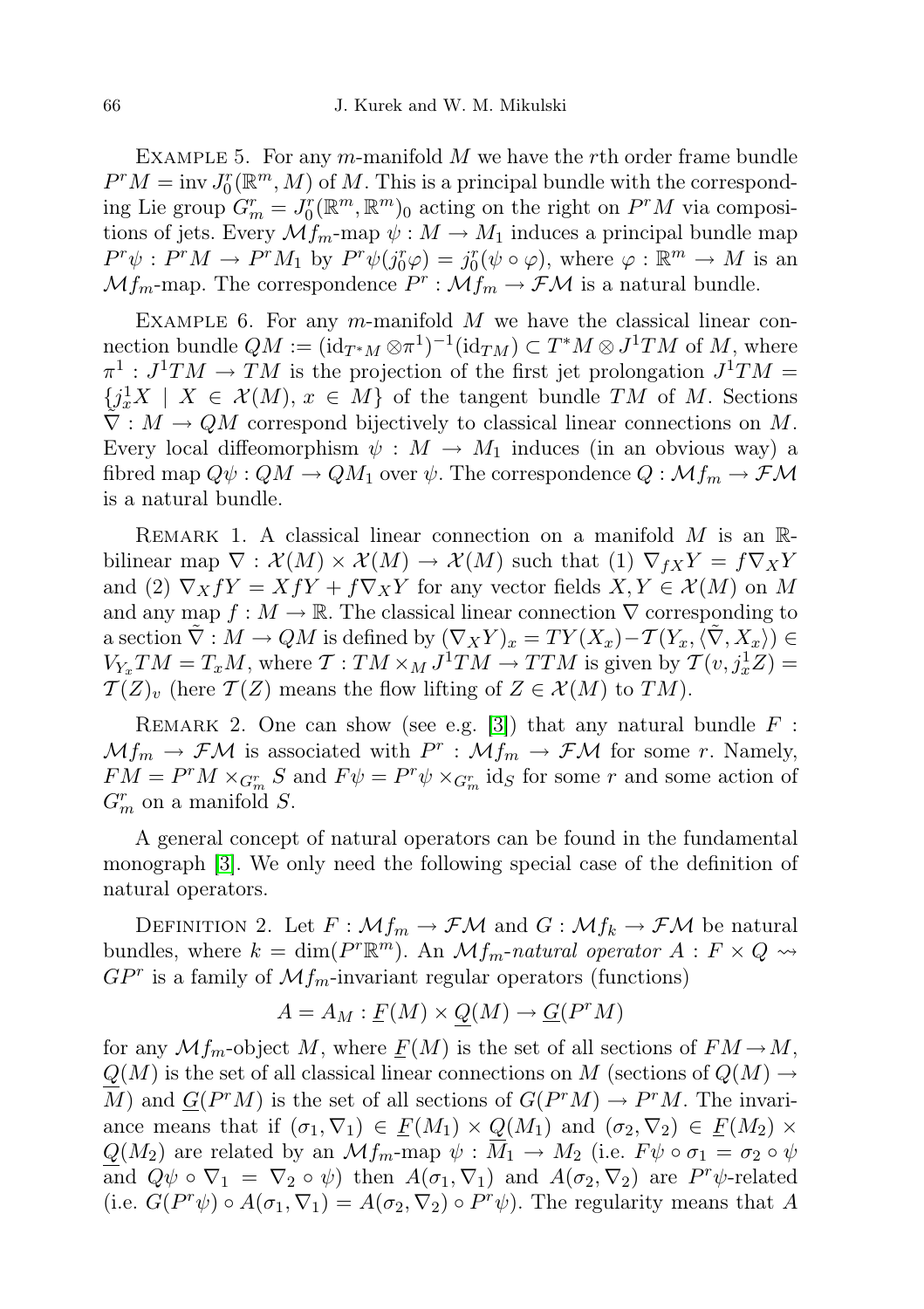EXAMPLE 5. For any m-manifold  $M$  we have the rth order frame bundle  $P^rM = \text{inv } J_0^r(\mathbb{R}^m, M)$  of M. This is a principal bundle with the corresponding Lie group  $G_m^r = J_0^r(\mathbb{R}^m, \mathbb{R}^m)$  acting on the right on  $P^rM$  via compositions of jets. Every  $\mathcal{M}_{m}$ -map  $\psi : M \to M_1$  induces a principal bundle map  $P^r \psi : P^r M \to P^r M_1$  by  $P^r \psi(j_0^r \varphi) = j_0^r (\psi \circ \varphi)$ , where  $\varphi : \mathbb{R}^m \to M$  is an  $\mathcal{M}f_m$ -map. The correspondence  $P^r : \mathcal{M}f_m \to \mathcal{F}\mathcal{M}$  is a natural bundle.

EXAMPLE 6. For any m-manifold  $M$  we have the classical linear connection bundle  $QM := (\mathrm{id}_{T^*M} \otimes \pi^1)^{-1}(\mathrm{id}_{TM}) \subset T^*M \otimes J^1TM$  of M, where  $\pi^1: J^1TM \to TM$  is the projection of the first jet prolongation  $J^1TM =$  ${j_x^1X \mid X \in \mathcal{X}(M), x \in M}$  of the tangent bundle TM of M. Sections  $\tilde{\nabla}: M \to QM$  correspond bijectively to classical linear connections on M. Every local diffeomorphism  $\psi : M \to M_1$  induces (in an obvious way) a fibred map  $Q\psi$ :  $QM \to QM_1$  over  $\psi$ . The correspondence  $Q : \mathcal{M}f_m \to \mathcal{F}\mathcal{M}$ is a natural bundle.

REMARK 1. A classical linear connection on a manifold  $M$  is an  $\mathbb{R}$ bilinear map  $\nabla : \mathcal{X}(M) \times \mathcal{X}(M) \to \mathcal{X}(M)$  such that (1)  $\nabla_{fX} Y = f \nabla_X Y$ and (2)  $\nabla_X fY = XfY + f\nabla_X Y$  for any vector fields  $X, Y \in \mathcal{X}(M)$  on M and any map  $f : M \to \mathbb{R}$ . The classical linear connection  $\nabla$  corresponding to a section  $\tilde{\nabla}: M \to QM$  is defined by  $(\nabla_X Y)_x = TY(X_x) - T(Y_x,\langle \tilde{\nabla}, X_x \rangle) \in$  $V_{Y_x}TM = T_xM$ , where  $\mathcal{T} : TM \times_M J^1TM \to TTM$  is given by  $\mathcal{T}(v, j_x^1Z) =$  $\mathcal{T}(Z)_v$  (here  $\mathcal{T}(Z)$  means the flow lifting of  $Z \in \mathcal{X}(M)$  to  $TM)$ .

REMARK 2. One can show (see e.g. [\[3\]](#page-8-0)) that any natural bundle  $F$ :  $Mf_m \to \mathcal{F}M$  is associated with  $P^r : Mf_m \to \mathcal{F}M$  for some r. Namely,  $FM = P<sup>r</sup>M \times_{G_{m}^{r}} S$  and  $F\psi = P<sup>r</sup>\psi \times_{G_{m}^{r}} id_{S}$  for some r and some action of  $G_m^r$  on a manifold S.

A general concept of natural operators can be found in the fundamental monograph [\[3\]](#page-8-0). We only need the following special case of the definition of natural operators.

DEFINITION 2. Let  $F: \mathcal{M}_{m} \to \mathcal{F}\mathcal{M}$  and  $G: \mathcal{M}_{k} \to \mathcal{F}\mathcal{M}$  be natural bundles, where  $k = \dim(P^r \mathbb{R}^m)$ . An  $\mathcal{M} f_m$ -natural operator  $A : F \times Q \rightarrow$  $GP<sup>r</sup>$  is a family of  $\mathcal{M}f_m$ -invariant regular operators (functions)

$$
A = A_M : \underline{F}(M) \times Q(M) \to \underline{G}(P^r M)
$$

for any  $\mathcal{M}_{m}$ -object M, where  $F(M)$  is the set of all sections of  $FM \rightarrow M$ ,  $Q(M)$  is the set of all classical linear connections on M (sections of  $Q(M) \rightarrow$ M) and  $G(P^rM)$  is the set of all sections of  $G(P^rM) \to P^rM$ . The invariance means that if  $(\sigma_1, \nabla_1) \in \underline{F}(M_1) \times Q(M_1)$  and  $(\sigma_2, \nabla_2) \in \underline{F}(M_2) \times$  $Q(M_2)$  are related by an  $\mathcal{M}_{m}$ -map  $\psi : \overline{M}_1 \to M_2$  (i.e.  $F\psi \circ \sigma_1 = \sigma_2 \circ \psi$ and  $Q\psi \circ \nabla_1 = \nabla_2 \circ \psi$  then  $A(\sigma_1, \nabla_1)$  and  $A(\sigma_2, \nabla_2)$  are  $P^r\psi$ -related (i.e.  $G(P^r\psi) \circ A(\sigma_1, \nabla_1) = A(\sigma_2, \nabla_2) \circ P^r\psi$ ). The regularity means that A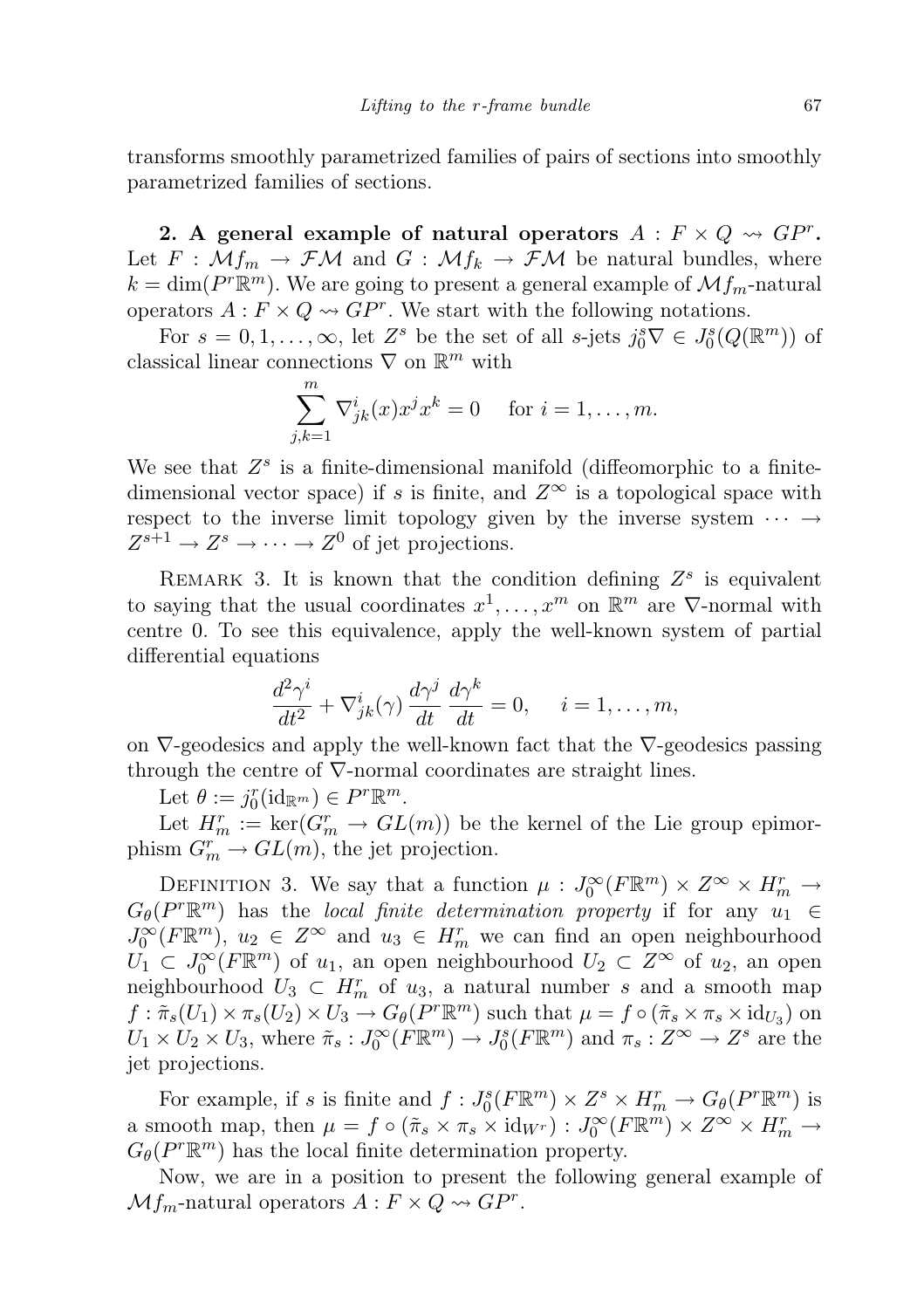transforms smoothly parametrized families of pairs of sections into smoothly parametrized families of sections.

2. A general example of natural operators  $A: F \times Q \rightsquigarrow G P^r$ . Let  $F : \mathcal{M}_{m} \to \mathcal{F}\mathcal{M}$  and  $G : \mathcal{M}_{m} \to \mathcal{F}\mathcal{M}$  be natural bundles, where  $k = \dim(P^r \mathbb{R}^m)$ . We are going to present a general example of  $\mathcal{M}_{fm}$ -natural operators  $A: F \times Q \rightarrow GP^r$ . We start with the following notations.

For  $s = 0, 1, ..., \infty$ , let  $Z^s$  be the set of all s-jets  $j_0^s \nabla \in J_0^s(Q(\mathbb{R}^m))$  of classical linear connections  $\nabla$  on  $\mathbb{R}^m$  with

$$
\sum_{j,k=1}^{m} \nabla_{jk}^{i}(x) x^{j} x^{k} = 0 \quad \text{for } i = 1, \dots, m.
$$

We see that  $Z^s$  is a finite-dimensional manifold (diffeomorphic to a finitedimensional vector space) if s is finite, and  $Z^{\infty}$  is a topological space with respect to the inverse limit topology given by the inverse system  $\cdots \rightarrow$  $Z^{s+1} \to Z^s \to \cdots \to Z^0$  of jet projections.

REMARK 3. It is known that the condition defining  $Z^s$  is equivalent to saying that the usual coordinates  $x^1, \ldots, x^m$  on  $\mathbb{R}^m$  are  $\nabla$ -normal with centre 0. To see this equivalence, apply the well-known system of partial differential equations

$$
\frac{d^2\gamma^i}{dt^2} + \nabla^i_{jk}(\gamma)\,\frac{d\gamma^j}{dt}\,\frac{d\gamma^k}{dt} = 0, \quad i = 1, \dots, m,
$$

on  $\nabla$ -geodesics and apply the well-known fact that the  $\nabla$ -geodesics passing through the centre of  $\nabla$ -normal coordinates are straight lines.

Let  $\theta := j_0^r(\mathrm{id}_{\mathbb{R}^m}) \in P^r \mathbb{R}^m$ .

Let  $H_m^r := \ker(G_m^r \to GL(m))$  be the kernel of the Lie group epimorphism  $G_m^r \to GL(m)$ , the jet projection.

DEFINITION 3. We say that a function  $\mu: J_0^{\infty}(F \mathbb{R}^m) \times Z^{\infty} \times H_m^r \to$  $G_{\theta}(P^r\mathbb{R}^m)$  has the local finite determination property if for any  $u_1 \in$  $J_0^{\infty}(F\mathbb{R}^m)$ ,  $u_2 \in Z^{\infty}$  and  $u_3 \in H_m^r$  we can find an open neighbourhood  $\overline{U}_1 \subset J_0^{\infty}(F\mathbb{R}^m)$  of  $u_1$ , an open neighbourhood  $U_2 \subset Z^{\infty}$  of  $u_2$ , an open neighbourhood  $U_3 \subset H_m^r$  of  $u_3$ , a natural number s and a smooth map  $f: \tilde{\pi}_s(U_1) \times \pi_s(U_2) \times U_3 \longrightarrow G_\theta(P^r \mathbb{R}^m)$  such that  $\mu = f \circ (\tilde{\pi}_s \times \pi_s \times id_{U_3})$  on  $U_1 \times U_2 \times U_3$ , where  $\tilde{\pi}_s : J_0^{\infty}(F \mathbb{R}^m) \to J_0^s(F \mathbb{R}^m)$  and  $\pi_s : Z^{\infty} \to Z^s$  are the jet projections.

For example, if s is finite and  $f: J_0^s(F \mathbb{R}^m) \times Z^s \times H_m^r \to G_\theta(P^r \mathbb{R}^m)$  is a smooth map, then  $\mu = f \circ (\tilde{\pi}_s \times \pi_s \times id_{W^r}) : J_0^{\infty}(F \mathbb{R}^m) \times Z^{\infty} \times H_m^r \to$  $G_{\theta}(P^r \mathbb{R}^m)$  has the local finite determination property.

Now, we are in a position to present the following general example of  $Mf_m$ -natural operators  $A: F \times Q \rightsquigarrow G P^r$ .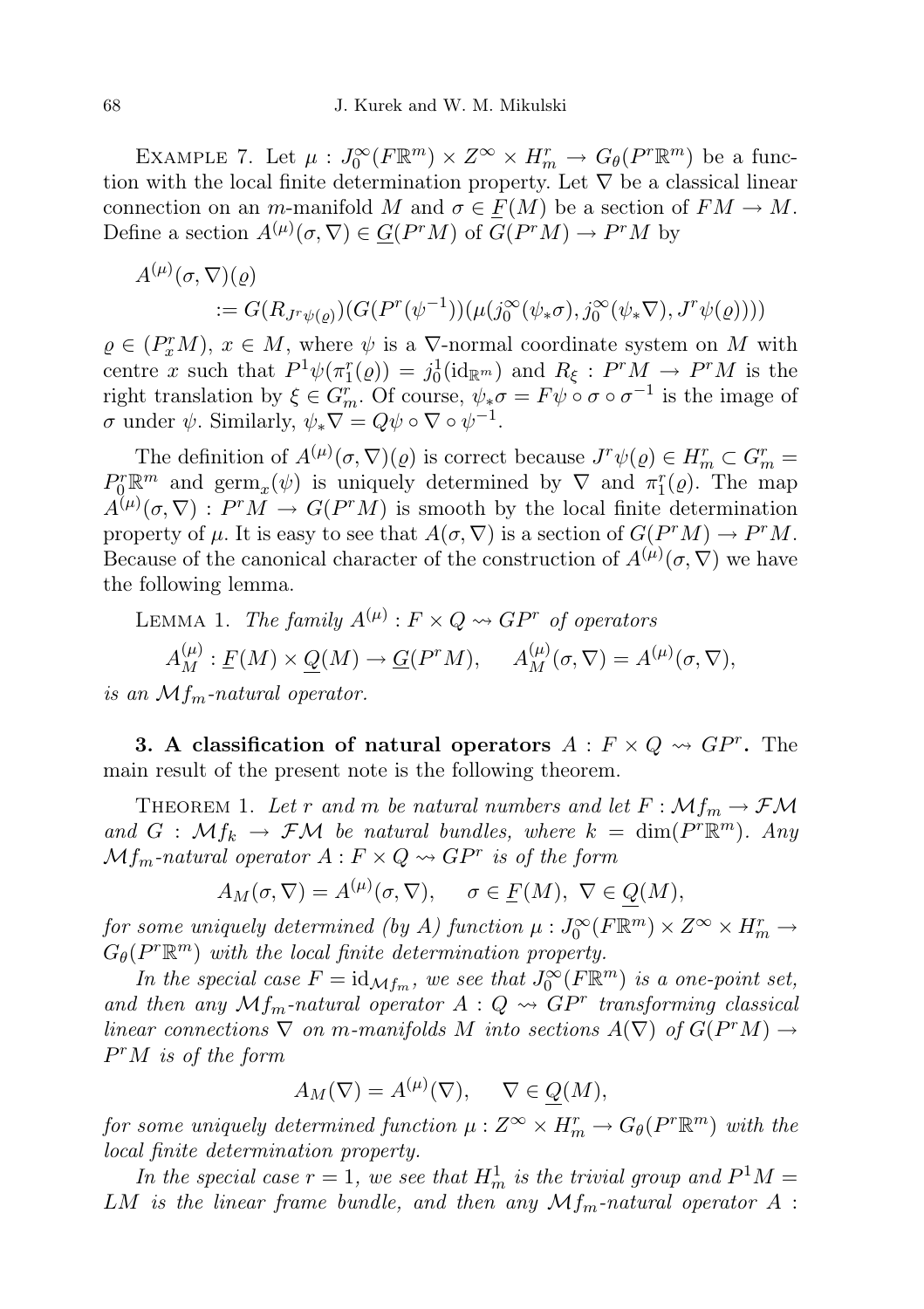EXAMPLE 7. Let  $\mu: J_0^{\infty}(F \mathbb{R}^m) \times Z^{\infty} \times H_m^r \to G_{\theta}(P^r \mathbb{R}^m)$  be a function with the local finite determination property. Let  $\nabla$  be a classical linear connection on an m-manifold M and  $\sigma \in F(M)$  be a section of  $FM \to M$ . Define a section  $A^{(\mu)}(\sigma, \nabla) \in \underline{G}(P^rM)$  of  $G(P^rM) \to P^rM$  by

$$
A^{(\mu)}(\sigma, \nabla)(\varrho)
$$
  
 :=  $G(R_{J^r\psi(\varrho)}) (G(P^r(\psi^{-1}))(\mu(j_0^{\infty}(\psi_*\sigma), j_0^{\infty}(\psi_*\nabla), J^r\psi(\varrho))))$ 

 $\rho \in (P_x^r M), x \in M$ , where  $\psi$  is a  $\nabla$ -normal coordinate system on M with centre x such that  $P^1\psi(\pi_1^r(\varrho)) = j_0^1(\mathrm{id}_{\mathbb{R}^m})$  and  $R_\xi: P^rM \to P^rM$  is the right translation by  $\xi \in G_m^r$ . Of course,  $\psi_*\sigma = F\psi \circ \sigma \circ \sigma^{-1}$  is the image of  $\sigma$  under  $\psi$ . Similarly,  $\psi_* \nabla = Q \psi \circ \nabla \circ \psi^{-1}$ .

The definition of  $A^{(\mu)}(\sigma,\nabla)(\varrho)$  is correct because  $J^r\psi(\varrho) \in H_m^r \subset G_m^r =$  $P_{0}^{r} \mathbb{R}^{m}$  and  $\operatorname{germ}_{x}(\psi)$  is uniquely determined by  $\nabla$  and  $\pi_{1}^{r}(\varrho)$ . The map  $A^{(\mu)}(\sigma, \nabla) : P^r M \to G(P^r M)$  is smooth by the local finite determination property of  $\mu$ . It is easy to see that  $A(\sigma, \nabla)$  is a section of  $G(P^rM) \to P^rM$ . Because of the canonical character of the construction of  $A^{(\mu)}(\sigma, \nabla)$  we have the following lemma.

LEMMA 1. The family  $A^{(\mu)}$  :  $F \times Q \rightsquigarrow GP^{r}$  of operators  $A_M^{(\mu)}$ :  $\underline{F}(M) \times \underline{Q}(M) \to \underline{G}(P^rM), \quad A_M^{(\mu)}(\sigma, \nabla) = A^{(\mu)}(\sigma, \nabla),$ 

is an  $Mf_m$ -natural operator.

3. A classification of natural operators  $A: F \times Q \rightsquigarrow G P^r$ . The main result of the present note is the following theorem.

THEOREM 1. Let r and m be natural numbers and let  $F : \mathcal{M}_{m} \to \mathcal{F}\mathcal{M}$ and  $G : \mathcal{M}f_k \to \mathcal{F}\mathcal{M}$  be natural bundles, where  $k = \dim(P^r \mathbb{R}^m)$ . Any  $Mf_m$ -natural operator  $A: F \times Q \rightsquigarrow G P^r$  is of the form

$$
A_M(\sigma, \nabla) = A^{(\mu)}(\sigma, \nabla), \quad \sigma \in \underline{F}(M), \ \nabla \in \underline{Q}(M),
$$

for some uniquely determined (by A) function  $\mu: J_0^{\infty}(F \mathbb{R}^m) \times Z^{\infty} \times H_m^r \to$  $G_{\theta}(P^r\mathbb{R}^m)$  with the local finite determination property.

In the special case  $F = id_{\mathcal{M}f_m}$ , we see that  $J_0^{\infty}(F \mathbb{R}^m)$  is a one-point set, and then any  $\mathcal{M}f_m$ -natural operator  $A:Q \rightsquigarrow GP^r$  transforming classical linear connections  $\nabla$  on m-manifolds M into sections  $A(\nabla)$  of  $G( P^r M) \rightarrow$  $P^rM$  is of the form

$$
A_M(\nabla) = A^{(\mu)}(\nabla), \quad \nabla \in Q(M),
$$

for some uniquely determined function  $\mu: Z^{\infty}\times H_{m}^{r}\rightarrow G_{\theta}(P^{r}\mathbb{R}^{m})$  with the local finite determination property.

In the special case  $r = 1$ , we see that  $H_m^1$  is the trivial group and  $P^1M =$ LM is the linear frame bundle, and then any  $Mf_m$ -natural operator  $A$ :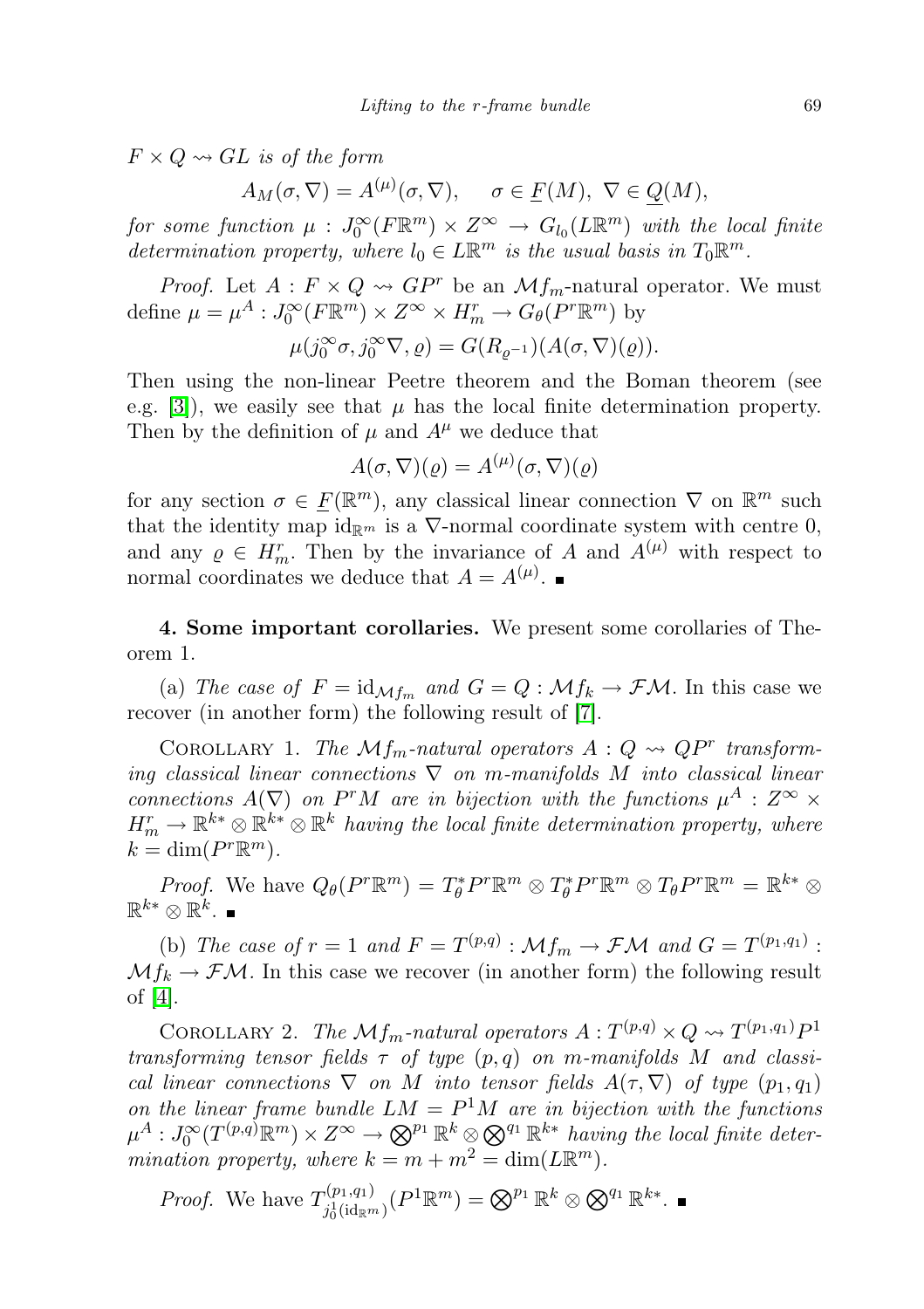$F \times Q \rightsquigarrow GL$  is of the form

$$
A_M(\sigma, \nabla) = A^{(\mu)}(\sigma, \nabla), \quad \sigma \in \underline{F}(M), \ \nabla \in \underline{Q}(M),
$$

for some function  $\mu: J_0^{\infty}(F \mathbb{R}^m) \times Z^{\infty} \to G_{l_0}(L \mathbb{R}^m)$  with the local finite determination property, where  $l_0 \in L\mathbb{R}^m$  is the usual basis in  $T_0\mathbb{R}^m$ .

*Proof.* Let  $A: F \times Q \rightsquigarrow GP^r$  be an  $\mathcal{M}f_m$ -natural operator. We must define  $\mu = \mu^A : J_0^{\infty}(F \mathbb{R}^m) \times Z^{\infty} \times H_m^r \to G_\theta(P^r \mathbb{R}^m)$  by

$$
\mu(j_0^{\infty}\sigma, j_0^{\infty}\nabla, \varrho) = G(R_{\varrho^{-1}})(A(\sigma, \nabla)(\varrho)).
$$

Then using the non-linear Peetre theorem and the Boman theorem (see e.g. [\[3\]](#page-8-0)), we easily see that  $\mu$  has the local finite determination property. Then by the definition of  $\mu$  and  $A^{\mu}$  we deduce that

$$
A(\sigma, \nabla)(\varrho) = A^{(\mu)}(\sigma, \nabla)(\varrho)
$$

for any section  $\sigma \in \underline{F}(\mathbb{R}^m)$ , any classical linear connection  $\nabla$  on  $\mathbb{R}^m$  such that the identity map  $id_{\mathbb{R}^m}$  is a  $\nabla$ -normal coordinate system with centre 0, and any  $\rho \in H_m^r$ . Then by the invariance of A and  $A^{(\mu)}$  with respect to normal coordinates we deduce that  $A = A^{(\mu)}$ .

4. Some important corollaries. We present some corollaries of Theorem 1.

(a) The case of  $F = id_{\mathcal{M}f_m}$  and  $G = Q : \mathcal{M}f_k \to \mathcal{F}\mathcal{M}$ . In this case we recover (in another form) the following result of [\[7\]](#page-8-6).

COROLLARY 1. The  $Mf_m$ -natural operators  $A: Q \rightsquigarrow QP^r$  transforming classical linear connections  $\nabla$  on m-manifolds M into classical linear connections  $A(\nabla)$  on P<sup>r</sup>M are in bijection with the functions  $\mu^A: \mathbb{Z}^{\infty} \times$  $H_m^r \to \mathbb{R}^{k*} \otimes \mathbb{R}^{k*}$  is  $\mathbb{R}^k$  having the local finite determination property, where  $k = \dim(P^r \mathbb{R}^m).$ 

*Proof.* We have  $Q_{\theta}(P^r \mathbb{R}^m) = T_{\theta}^* P^r \mathbb{R}^m \otimes T_{\theta}^* P^r \mathbb{R}^m \otimes T_{\theta} P^r \mathbb{R}^m = \mathbb{R}^{k*} \otimes T_{\theta} P^r \mathbb{R}^m$  $\mathbb{R}^{k*}\otimes \mathbb{R}^k.$ 

(b) The case of  $r = 1$  and  $F = T^{(p,q)} : \mathcal{M}f_m \to \mathcal{F}\mathcal{M}$  and  $G = T^{(p_1,q_1)}$ :  $Mf_k \to \mathcal{F}M$ . In this case we recover (in another form) the following result of [\[4\]](#page-8-7).

COROLLARY 2. The  $\mathcal{M}_{\textit{fm}}$ -natural operators  $A: T^{(p,q)} \times Q \rightsquigarrow T^{(p_1,q_1)}P^1$ transforming tensor fields  $\tau$  of type  $(p, q)$  on m-manifolds M and classical linear connections  $\nabla$  on M into tensor fields  $A(\tau, \nabla)$  of type  $(p_1, q_1)$ on the linear frame bundle  $LM = P^1M$  are in bijection with the functions  $\mu^A: J_0^\infty(T^{(p,q)}{\Bbb R}^m)\times Z^\infty\to \bigotimes^{p_1}{\Bbb R}^k\otimes \bigotimes^{q_1}{\Bbb R}^{k*}$  having the local finite determination property, where  $k = m + m^2 = \dim(L\mathbb{R}^m)$ .

*Proof.* We have 
$$
T_{j_0^1(\mathrm{id}_{\mathbb{R}^m})}^{(p_1,q_1)}(P^1\mathbb{R}^m) = \bigotimes^{p_1} \mathbb{R}^k \otimes \bigotimes^{q_1} \mathbb{R}^{k*}
$$
.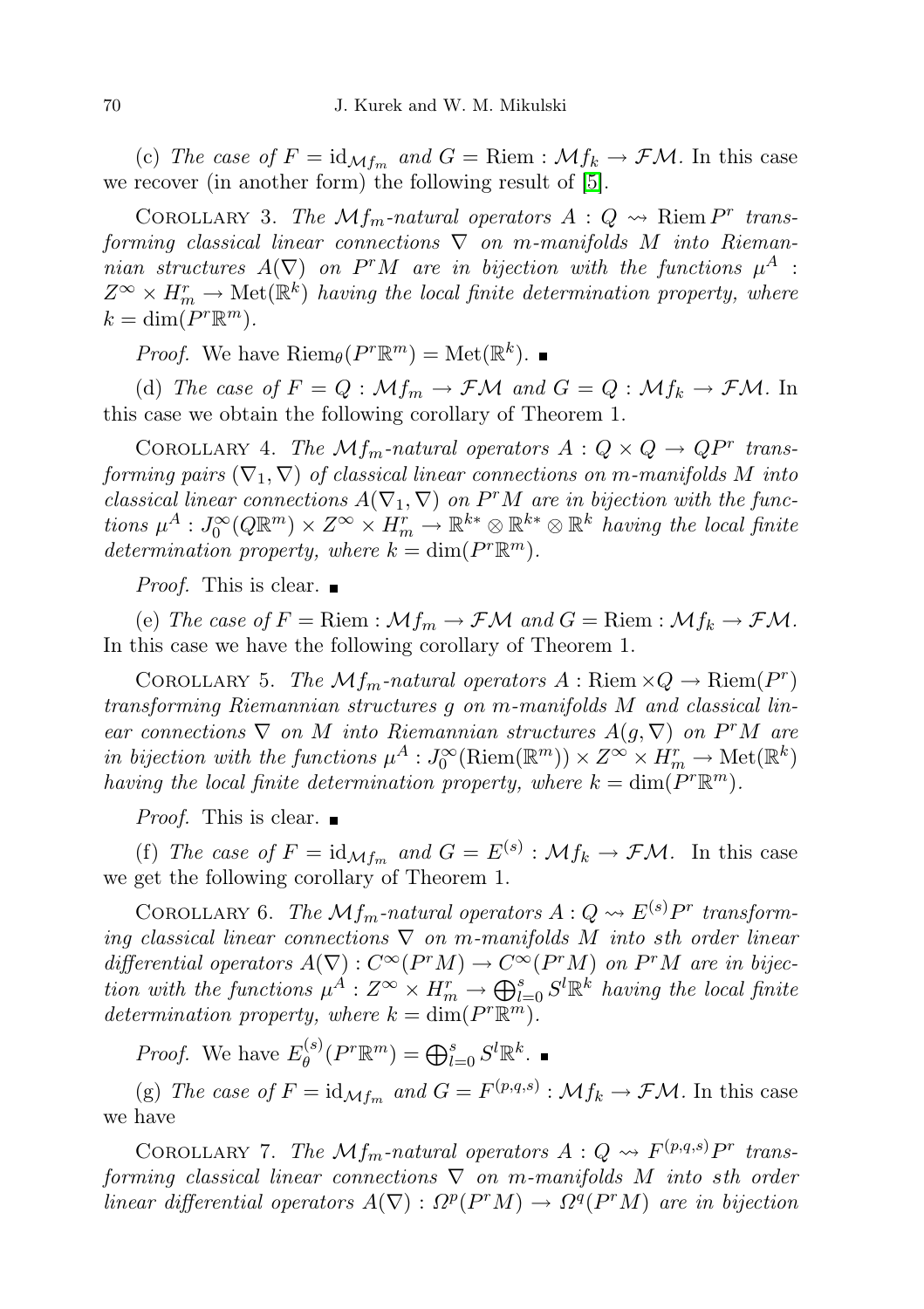(c) The case of  $F = id_{\mathcal{M}f_m}$  and  $G =$  Riem :  $\mathcal{M}f_k \to \mathcal{F}\mathcal{M}$ . In this case we recover (in another form) the following result of [\[5\]](#page-8-8).

COROLLARY 3. The  $\mathcal{M}_{\mathit{fm}}$ -natural operators  $A:Q \rightsquigarrow$  Riem  $P^r$  transforming classical linear connections  $\nabla$  on m-manifolds M into Riemannian structures  $A(\nabla)$  on P<sup>r</sup>M are in bijection with the functions  $\mu^A$ :  $Z^{\infty} \times H_m^r \to \text{Met}(\mathbb{R}^k)$  having the local finite determination property, where  $k = \dim(P^r \mathbb{R}^m).$ 

*Proof.* We have  $\text{Riem}_{\theta}(P^r \mathbb{R}^m) = \text{Met}(\mathbb{R}^k)$ .

(d) The case of  $F = Q : \mathcal{M}f_m \to \mathcal{F}\mathcal{M}$  and  $G = Q : \mathcal{M}f_k \to \mathcal{F}\mathcal{M}$ . In this case we obtain the following corollary of Theorem 1.

COROLLARY 4. The  $Mf_m$ -natural operators  $A: Q \times Q \rightarrow QP^r$  transforming pairs  $(\nabla_1, \nabla)$  of classical linear connections on m-manifolds M into classical linear connections  $A(\nabla_1, \nabla)$  on  $P^rM$  are in bijection with the functions  $\mu^A: J_0^{\infty}(Q\mathbb{R}^m)\times Z^{\infty}\times H_m^r \to \mathbb{R}^{k*}\otimes \mathbb{R}^{k*}\otimes \mathbb{R}^k$  having the local finite determination property, where  $k = \dim(P^r \mathbb{R}^m)$ .

*Proof.* This is clear.  $\blacksquare$ 

(e) The case of  $F =$ Riem :  $\mathcal{M}f_m \to \mathcal{F}\mathcal{M}$  and  $G =$  Riem :  $\mathcal{M}f_k \to \mathcal{F}\mathcal{M}$ . In this case we have the following corollary of Theorem 1.

COROLLARY 5. The  $\mathcal{M}f_m$ -natural operators  $A:$  Riem  $\times Q \rightarrow$  Riem $(P^r)$ transforming Riemannian structures g on m-manifolds M and classical linear connections  $\nabla$  on M into Riemannian structures  $A(g, \nabla)$  on  $P^rM$  are in bijection with the functions  $\mu^A: J_0^{\infty}(\text{Riem}(\mathbb{R}^m)) \times Z^{\infty} \times H_m^r \to \text{Met}(\mathbb{R}^k)$ having the local finite determination property, where  $k = \dim(P^r \mathbb{R}^m)$ .

*Proof.* This is clear.  $\blacksquare$ 

(f) The case of  $F = id_{\mathcal{M}f_m}$  and  $G = E^{(s)} : \mathcal{M}f_k \to \mathcal{F}\mathcal{M}$ . In this case we get the following corollary of Theorem 1.

COROLLARY 6. The  $\mathcal{M}f_m$ -natural operators  $A: Q \rightsquigarrow E^{(s)}P^r$  transforming classical linear connections  $\nabla$  on m-manifolds M into sth order linear differential operators  $A(\nabla): C^{\infty}(P^rM) \to C^{\infty}(P^rM)$  on  $P^rM$  are in bijection with the functions  $\mu^A: Z^\infty \times H^r_m \to \bigoplus_{l=0}^s S^l \mathbb{R}^k$  having the local finite determination property, where  $k = \dim(P^r \mathbb{R}^m)$ .

*Proof.* We have  $E_{\theta}^{(s)}$  $\theta_{\theta}^{(s)}(P^r\mathbb{R}^m) = \bigoplus_{l=0}^s S^l\mathbb{R}^k.$ 

(g) The case of  $F = id_{\mathcal{M}f_m}$  and  $G = F^{(p,q,s)} : \mathcal{M}f_k \to \mathcal{F}\mathcal{M}$ . In this case we have

COROLLARY 7. The  $\mathcal{M}_{\textit{fm}}$ -natural operators  $A: Q \rightsquigarrow F^{(p,q,s)}P^r$  transforming classical linear connections  $\nabla$  on m-manifolds M into sth order linear differential operators  $A(\nabla): \Omega^p(P^rM) \to \Omega^q(P^rM)$  are in bijection